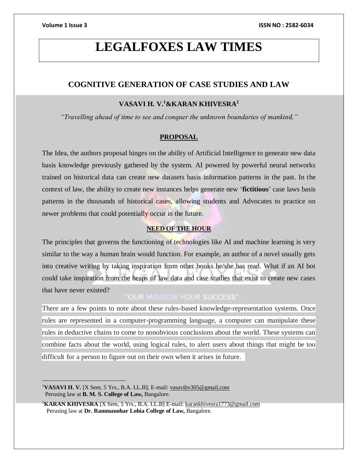# **LEGALFOXES LAW TIMES**

# **COGNITIVE GENERATION OF CASE STUDIES AND LAW**

# **VASAVI H. V.<sup>1</sup>&KARAN KHIVESRA<sup>2</sup>**

*"Travelling ahead of time to see and conquer the unknown boundaries of mankind."*

### **PROPOSAL**

The Idea, the authors proposal hinges on the ability of Artificial Intelligence to generate new data basis knowledge previously gathered by the system. AI powered by powerful neural networks trained on historical data can create new datasets basis information patterns in the past. In the context of law, the ability to create new instances helps generate new '**fictitious**' case laws basis patterns in the thousands of historical cases, allowing students and Advocates to practice on newer problems that could potentially occur in the future.

# **NEED OF THE HOUR**

The principles that governs the functioning of technologies like AI and machine learning is very similar to the way a human brain would function. For example, an author of a novel usually gets into creative writing by taking inspiration from other books he/she has read. What if an AI bot could take inspiration from the heaps of law data and case studies that exist to create new cases that have never existed?

# "OUR MISSION YOUR SUCCESS"

There are a few points to note about these rules-based knowledge-representation systems. Once rules are represented in a computer-programming language, a computer can manipulate these rules in deductive chains to come to nonobvious conclusions about the world. These systems can combine facts about the world, using logical rules, to alert users about things that might be too difficult for a person to figure out on their own when it arises in future.

<sup>1</sup>**VASAVI H. V.** [X Sem, 5 Yrs., B.A. LL.B]; E-mail[: vasavihv305@gmail.com](mailto:vasavihv305@gmail.com) Perusing law at **B. M. S. College of Law,** Bangalore.

<sup>2</sup>**KARAN KHIVESRA** [X Sem, 5 Yrs., B.A. LL.B] E-mail[: karankhivesra1773@gmail.com](mailto:karankhivesra1773@gmail.com) Perusing law at **Dr. Rammanohar Lohia College of Law,** Bangalore.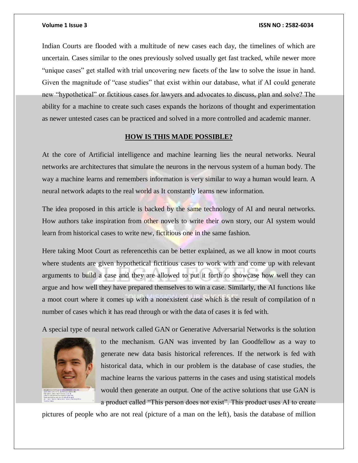### **Volume 1 Issue 3 ISSN NO : 2582-6034**

Indian Courts are flooded with a multitude of new cases each day, the timelines of which are uncertain. Cases similar to the ones previously solved usually get fast tracked, while newer more "unique cases" get stalled with trial uncovering new facets of the law to solve the issue in hand. Given the magnitude of "case studies" that exist within our database, what if AI could generate new "hypothetical" or fictitious cases for lawyers and advocates to discuss, plan and solve? The ability for a machine to create such cases expands the horizons of thought and experimentation as newer untested cases can be practiced and solved in a more controlled and academic manner.

## **HOW IS THIS MADE POSSIBLE?**

At the core of Artificial intelligence and machine learning lies the neural networks. Neural networks are architectures that simulate the neurons in the nervous system of a human body. The way a machine learns and remembers information is very similar to way a human would learn. A neural network adapts to the real world as It constantly learns new information.

The idea proposed in this article is backed by the same technology of AI and neural networks. How authors take inspiration from other novels to write their own story, our AI system would learn from historical cases to write new, fictitious one in the same fashion.

Here taking Moot Court as referencethis can be better explained, as we all know in moot courts where students are given hypothetical fictitious cases to work with and come up with relevant arguments to build a case and they are allowed to put it forth to showcase how well they can argue and how well they have prepared themselves to win a case. Similarly, the AI functions like a moot court where it comes up with a nonexistent case which is the result of compilation of n number of cases which it has read through or with the data of cases it is fed with.

A special type of neural network called GAN or Generative Adversarial Networks is the solution



to the mechanism. GAN was invented by Ian Goodfellow as a way to generate new data basis historical references. If the network is fed with historical data, which in our problem is the database of case studies, the machine learns the various patterns in the cases and using statistical models would then generate an output. One of the active solutions that use GAN is a product called "This person does not exist". This product uses AI to create

pictures of people who are not real (picture of a man on the left), basis the database of million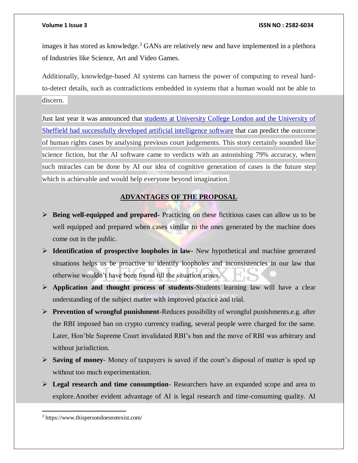images it has stored as knowledge.<sup>3</sup> GANs are relatively new and have implemented in a plethora of Industries like Science, Art and Video Games.

Additionally, knowledge-based AI systems can harness the power of computing to reveal hardto-detect details, such as contradictions embedded in systems that a human would not be able to discern.

Just last year it was announced that students at University College London and the University of [Sheffield had successfully developed artificial intelligence software](https://www.theguardian.com/technology/2016/oct/24/artificial-intelligence-judge-university-college-london-computer-scientists) that can predict the outcome of human rights cases by analysing previous court judgements. This story certainly sounded like science fiction, but the AI software came to verdicts with an astonishing 79% accuracy, when such miracles can be done by AI our idea of cognitive generation of cases is the future step which is achievable and would help everyone beyond imagination.

# **ADVANTAGES OF THE PROPOSAL**

- **Being well-equipped and prepared-** Practicing on these fictitious cases can allow us to be well equipped and prepared when cases similar to the ones generated by the machine does come out in the public.
- **Identification of prospective loopholes in law-** New hypothetical and machine generated situations helps us be proactive to identify loopholes and inconsistencies in our law that otherwise wouldn't have been found till the situation arises.
- **Application and thought process of students**-Students learning law will have a clear understanding of the subject matter with improved practice and trial.
- **Prevention of wrongful punishment**-Reduces possibility of wrongful punishments.e.g. after the RBI imposed ban on crypto currency trading, several people were charged for the same. Later, Hon'ble Supreme Court invalidated RBI's ban and the move of RBI was arbitrary and without jurisdiction.
- **Saving of money** Money of taxpayers is saved if the court's disposal of matter is sped up without too much experimentation.
- **Legal research and time consumption** Researchers have an expanded scope and area to explore.Another evident advantage of AI is legal research and time-consuming quality. AI

 $\overline{a}$ <sup>3</sup> https://www.thispersondoesnotexist.com/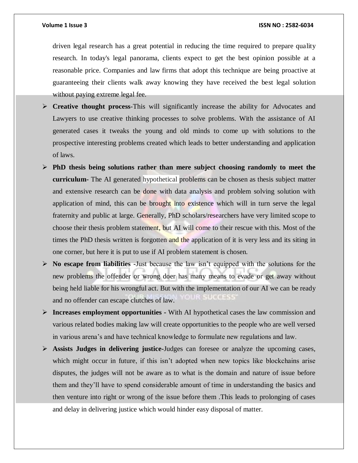driven legal research has a great potential in reducing the time required to prepare quality research. In today's legal panorama, clients expect to get the best opinion possible at a reasonable price. Companies and law firms that adopt this technique are being proactive at guaranteeing their clients walk away knowing they have received the best legal solution without paying extreme legal fee.

- **Creative thought process**-This will significantly increase the ability for Advocates and Lawyers to use creative thinking processes to solve problems. With the assistance of AI generated cases it tweaks the young and old minds to come up with solutions to the prospective interesting problems created which leads to better understanding and application of laws.
- **PhD thesis being solutions rather than mere subject choosing randomly to meet the curriculum-** The AI generated hypothetical problems can be chosen as thesis subject matter and extensive research can be done with data analysis and problem solving solution with application of mind, this can be brought into existence which will in turn serve the legal fraternity and public at large. Generally, PhD scholars/researchers have very limited scope to choose their thesis problem statement, but AI will come to their rescue with this. Most of the times the PhD thesis written is forgotten and the application of it is very less and its siting in one corner, but here it is put to use if AI problem statement is chosen.
- **No escape from liabilities -**Just because the law isn't equipped with the solutions for the new problems the offender or wrong doer has many means to evade or get away without being held liable for his wrongful act. But with the implementation of our AI we can be ready and no offender can escape clutches of law.
- **Increases employment opportunities -** With AI hypothetical cases the law commission and various related bodies making law will create opportunities to the people who are well versed in various arena's and have technical knowledge to formulate new regulations and law.
- **Assists Judges in delivering justice-**Judges can foresee or analyze the upcoming cases, which might occur in future, if this isn't adopted when new topics like blockchains arise disputes, the judges will not be aware as to what is the domain and nature of issue before them and they'll have to spend considerable amount of time in understanding the basics and then venture into right or wrong of the issue before them .This leads to prolonging of cases and delay in delivering justice which would hinder easy disposal of matter.